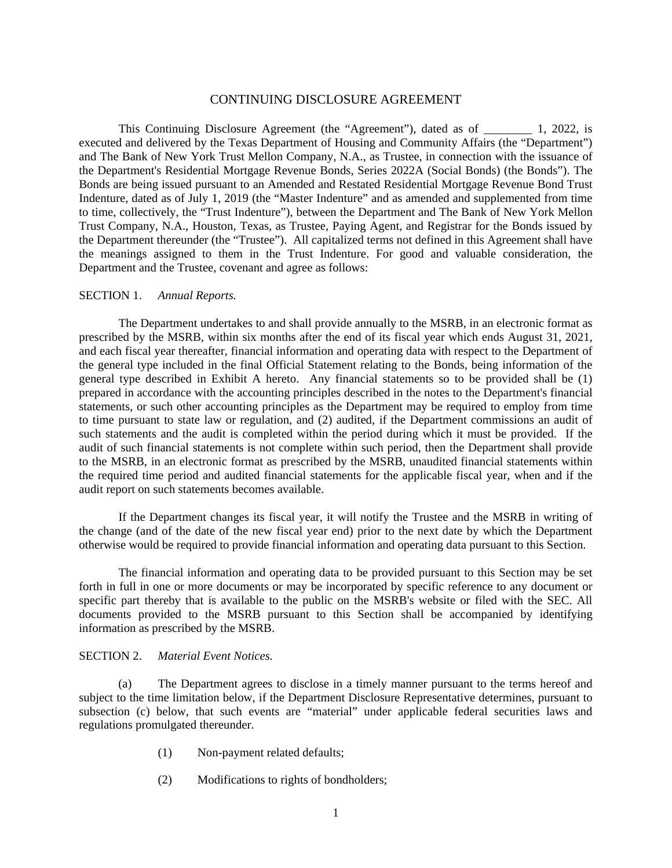## CONTINUING DISCLOSURE AGREEMENT

This Continuing Disclosure Agreement (the "Agreement"), dated as of  $\qquad \qquad$  1, 2022, is executed and delivered by the Texas Department of Housing and Community Affairs (the "Department") and The Bank of New York Trust Mellon Company, N.A., as Trustee, in connection with the issuance of the Department's Residential Mortgage Revenue Bonds, Series 2022A (Social Bonds) (the Bonds"). The Bonds are being issued pursuant to an Amended and Restated Residential Mortgage Revenue Bond Trust Indenture, dated as of July 1, 2019 (the "Master Indenture" and as amended and supplemented from time to time, collectively, the "Trust Indenture"), between the Department and The Bank of New York Mellon Trust Company, N.A., Houston, Texas, as Trustee, Paying Agent, and Registrar for the Bonds issued by the Department thereunder (the "Trustee"). All capitalized terms not defined in this Agreement shall have the meanings assigned to them in the Trust Indenture. For good and valuable consideration, the Department and the Trustee, covenant and agree as follows:

## SECTION 1. *Annual Reports.*

The Department undertakes to and shall provide annually to the MSRB, in an electronic format as prescribed by the MSRB, within six months after the end of its fiscal year which ends August 31, 2021, and each fiscal year thereafter, financial information and operating data with respect to the Department of the general type included in the final Official Statement relating to the Bonds, being information of the general type described in Exhibit A hereto. Any financial statements so to be provided shall be (1) prepared in accordance with the accounting principles described in the notes to the Department's financial statements, or such other accounting principles as the Department may be required to employ from time to time pursuant to state law or regulation, and (2) audited, if the Department commissions an audit of such statements and the audit is completed within the period during which it must be provided. If the audit of such financial statements is not complete within such period, then the Department shall provide to the MSRB, in an electronic format as prescribed by the MSRB, unaudited financial statements within the required time period and audited financial statements for the applicable fiscal year, when and if the audit report on such statements becomes available.

If the Department changes its fiscal year, it will notify the Trustee and the MSRB in writing of the change (and of the date of the new fiscal year end) prior to the next date by which the Department otherwise would be required to provide financial information and operating data pursuant to this Section.

The financial information and operating data to be provided pursuant to this Section may be set forth in full in one or more documents or may be incorporated by specific reference to any document or specific part thereby that is available to the public on the MSRB's website or filed with the SEC. All documents provided to the MSRB pursuant to this Section shall be accompanied by identifying information as prescribed by the MSRB.

#### SECTION 2. *Material Event Notices.*

(a) The Department agrees to disclose in a timely manner pursuant to the terms hereof and subject to the time limitation below, if the Department Disclosure Representative determines, pursuant to subsection (c) below, that such events are "material" under applicable federal securities laws and regulations promulgated thereunder.

- (1) Non-payment related defaults;
- (2) Modifications to rights of bondholders;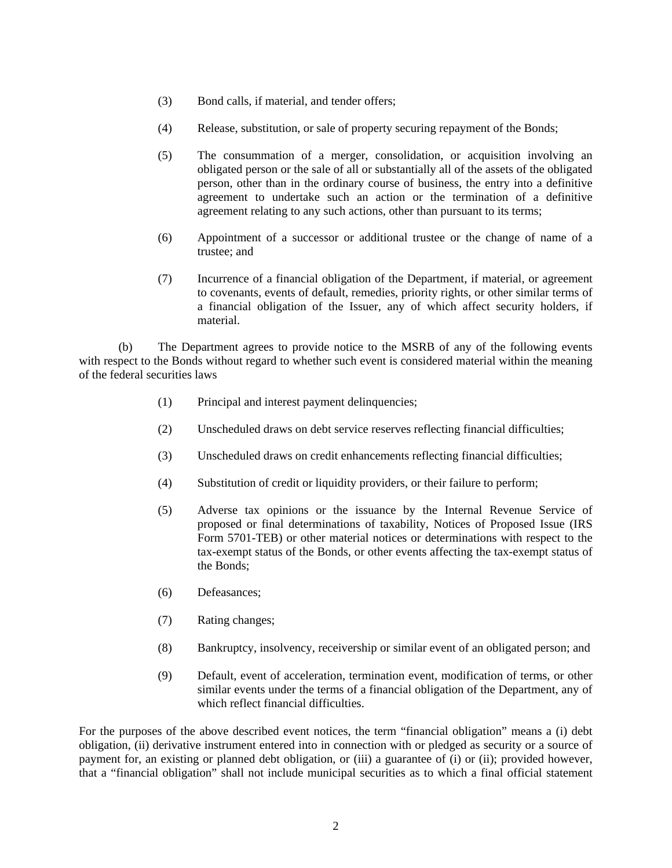- (3) Bond calls, if material, and tender offers;
- (4) Release, substitution, or sale of property securing repayment of the Bonds;
- (5) The consummation of a merger, consolidation, or acquisition involving an obligated person or the sale of all or substantially all of the assets of the obligated person, other than in the ordinary course of business, the entry into a definitive agreement to undertake such an action or the termination of a definitive agreement relating to any such actions, other than pursuant to its terms;
- (6) Appointment of a successor or additional trustee or the change of name of a trustee; and
- (7) Incurrence of a financial obligation of the Department, if material, or agreement to covenants, events of default, remedies, priority rights, or other similar terms of a financial obligation of the Issuer, any of which affect security holders, if material.

(b) The Department agrees to provide notice to the MSRB of any of the following events with respect to the Bonds without regard to whether such event is considered material within the meaning of the federal securities laws

- (1) Principal and interest payment delinquencies;
- (2) Unscheduled draws on debt service reserves reflecting financial difficulties;
- (3) Unscheduled draws on credit enhancements reflecting financial difficulties;
- (4) Substitution of credit or liquidity providers, or their failure to perform;
- (5) Adverse tax opinions or the issuance by the Internal Revenue Service of proposed or final determinations of taxability, Notices of Proposed Issue (IRS Form 5701-TEB) or other material notices or determinations with respect to the tax-exempt status of the Bonds, or other events affecting the tax-exempt status of the Bonds;
- (6) Defeasances;
- (7) Rating changes;
- (8) Bankruptcy, insolvency, receivership or similar event of an obligated person; and
- (9) Default, event of acceleration, termination event, modification of terms, or other similar events under the terms of a financial obligation of the Department, any of which reflect financial difficulties.

For the purposes of the above described event notices, the term "financial obligation" means a (i) debt obligation, (ii) derivative instrument entered into in connection with or pledged as security or a source of payment for, an existing or planned debt obligation, or (iii) a guarantee of (i) or (ii); provided however, that a "financial obligation" shall not include municipal securities as to which a final official statement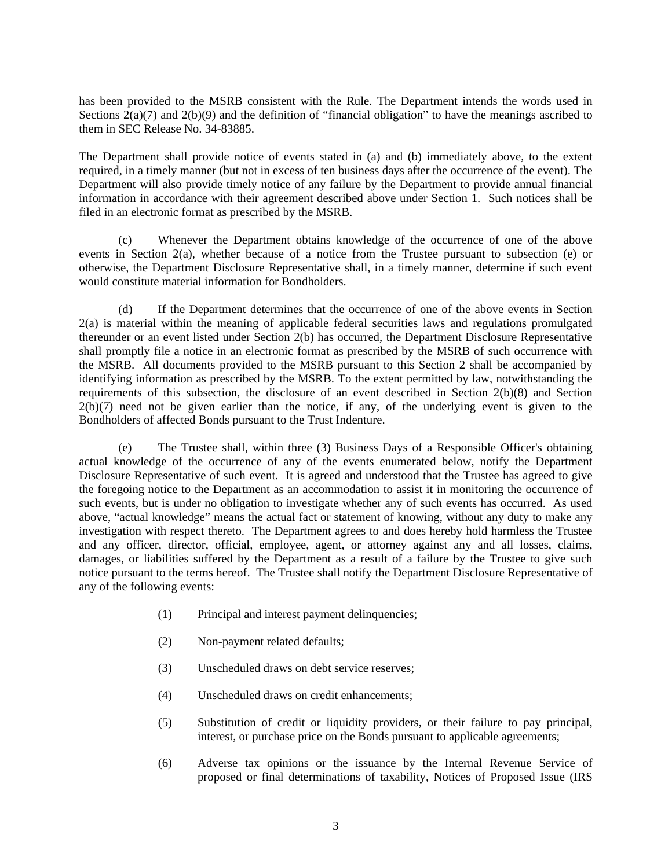has been provided to the MSRB consistent with the Rule. The Department intends the words used in Sections  $2(a)(7)$  and  $2(b)(9)$  and the definition of "financial obligation" to have the meanings ascribed to them in SEC Release No. 34-83885.

The Department shall provide notice of events stated in (a) and (b) immediately above, to the extent required, in a timely manner (but not in excess of ten business days after the occurrence of the event). The Department will also provide timely notice of any failure by the Department to provide annual financial information in accordance with their agreement described above under Section 1. Such notices shall be filed in an electronic format as prescribed by the MSRB.

(c) Whenever the Department obtains knowledge of the occurrence of one of the above events in Section 2(a), whether because of a notice from the Trustee pursuant to subsection (e) or otherwise, the Department Disclosure Representative shall, in a timely manner, determine if such event would constitute material information for Bondholders.

(d) If the Department determines that the occurrence of one of the above events in Section 2(a) is material within the meaning of applicable federal securities laws and regulations promulgated thereunder or an event listed under Section 2(b) has occurred, the Department Disclosure Representative shall promptly file a notice in an electronic format as prescribed by the MSRB of such occurrence with the MSRB. All documents provided to the MSRB pursuant to this Section 2 shall be accompanied by identifying information as prescribed by the MSRB. To the extent permitted by law, notwithstanding the requirements of this subsection, the disclosure of an event described in Section 2(b)(8) and Section  $2(b)(7)$  need not be given earlier than the notice, if any, of the underlying event is given to the Bondholders of affected Bonds pursuant to the Trust Indenture.

(e) The Trustee shall, within three (3) Business Days of a Responsible Officer's obtaining actual knowledge of the occurrence of any of the events enumerated below, notify the Department Disclosure Representative of such event. It is agreed and understood that the Trustee has agreed to give the foregoing notice to the Department as an accommodation to assist it in monitoring the occurrence of such events, but is under no obligation to investigate whether any of such events has occurred. As used above, "actual knowledge" means the actual fact or statement of knowing, without any duty to make any investigation with respect thereto. The Department agrees to and does hereby hold harmless the Trustee and any officer, director, official, employee, agent, or attorney against any and all losses, claims, damages, or liabilities suffered by the Department as a result of a failure by the Trustee to give such notice pursuant to the terms hereof. The Trustee shall notify the Department Disclosure Representative of any of the following events:

- (1) Principal and interest payment delinquencies;
- (2) Non-payment related defaults;
- (3) Unscheduled draws on debt service reserves;
- (4) Unscheduled draws on credit enhancements;
- (5) Substitution of credit or liquidity providers, or their failure to pay principal, interest, or purchase price on the Bonds pursuant to applicable agreements;
- (6) Adverse tax opinions or the issuance by the Internal Revenue Service of proposed or final determinations of taxability, Notices of Proposed Issue (IRS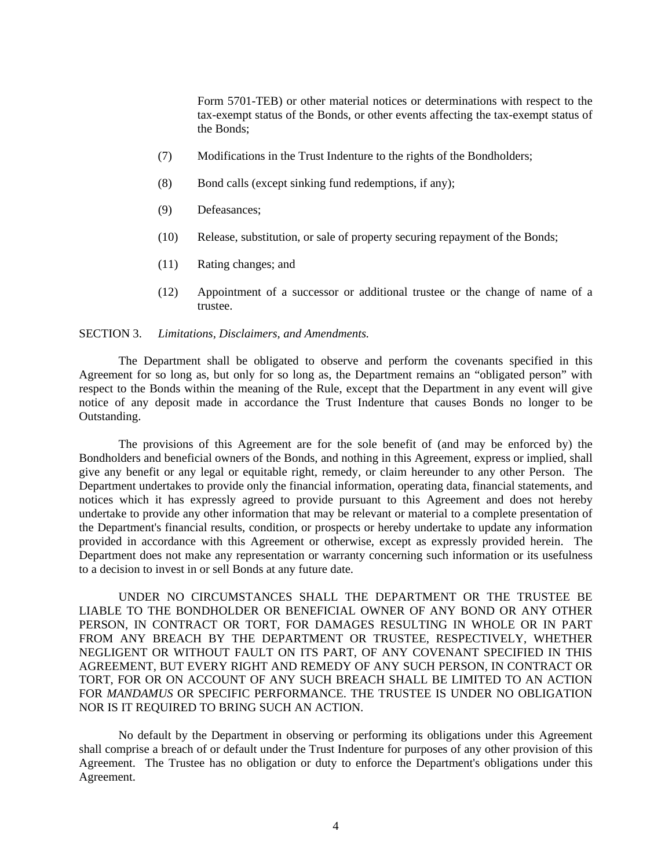Form 5701-TEB) or other material notices or determinations with respect to the tax-exempt status of the Bonds, or other events affecting the tax-exempt status of the Bonds;

- (7) Modifications in the Trust Indenture to the rights of the Bondholders;
- (8) Bond calls (except sinking fund redemptions, if any);
- (9) Defeasances;
- (10) Release, substitution, or sale of property securing repayment of the Bonds;
- (11) Rating changes; and
- (12) Appointment of a successor or additional trustee or the change of name of a trustee.

#### SECTION 3. *Limitations, Disclaimers, and Amendments.*

The Department shall be obligated to observe and perform the covenants specified in this Agreement for so long as, but only for so long as, the Department remains an "obligated person" with respect to the Bonds within the meaning of the Rule, except that the Department in any event will give notice of any deposit made in accordance the Trust Indenture that causes Bonds no longer to be Outstanding.

The provisions of this Agreement are for the sole benefit of (and may be enforced by) the Bondholders and beneficial owners of the Bonds, and nothing in this Agreement, express or implied, shall give any benefit or any legal or equitable right, remedy, or claim hereunder to any other Person. The Department undertakes to provide only the financial information, operating data, financial statements, and notices which it has expressly agreed to provide pursuant to this Agreement and does not hereby undertake to provide any other information that may be relevant or material to a complete presentation of the Department's financial results, condition, or prospects or hereby undertake to update any information provided in accordance with this Agreement or otherwise, except as expressly provided herein. The Department does not make any representation or warranty concerning such information or its usefulness to a decision to invest in or sell Bonds at any future date.

UNDER NO CIRCUMSTANCES SHALL THE DEPARTMENT OR THE TRUSTEE BE LIABLE TO THE BONDHOLDER OR BENEFICIAL OWNER OF ANY BOND OR ANY OTHER PERSON, IN CONTRACT OR TORT, FOR DAMAGES RESULTING IN WHOLE OR IN PART FROM ANY BREACH BY THE DEPARTMENT OR TRUSTEE, RESPECTIVELY, WHETHER NEGLIGENT OR WITHOUT FAULT ON ITS PART, OF ANY COVENANT SPECIFIED IN THIS AGREEMENT, BUT EVERY RIGHT AND REMEDY OF ANY SUCH PERSON, IN CONTRACT OR TORT, FOR OR ON ACCOUNT OF ANY SUCH BREACH SHALL BE LIMITED TO AN ACTION FOR *MANDAMUS* OR SPECIFIC PERFORMANCE. THE TRUSTEE IS UNDER NO OBLIGATION NOR IS IT REQUIRED TO BRING SUCH AN ACTION.

No default by the Department in observing or performing its obligations under this Agreement shall comprise a breach of or default under the Trust Indenture for purposes of any other provision of this Agreement. The Trustee has no obligation or duty to enforce the Department's obligations under this Agreement.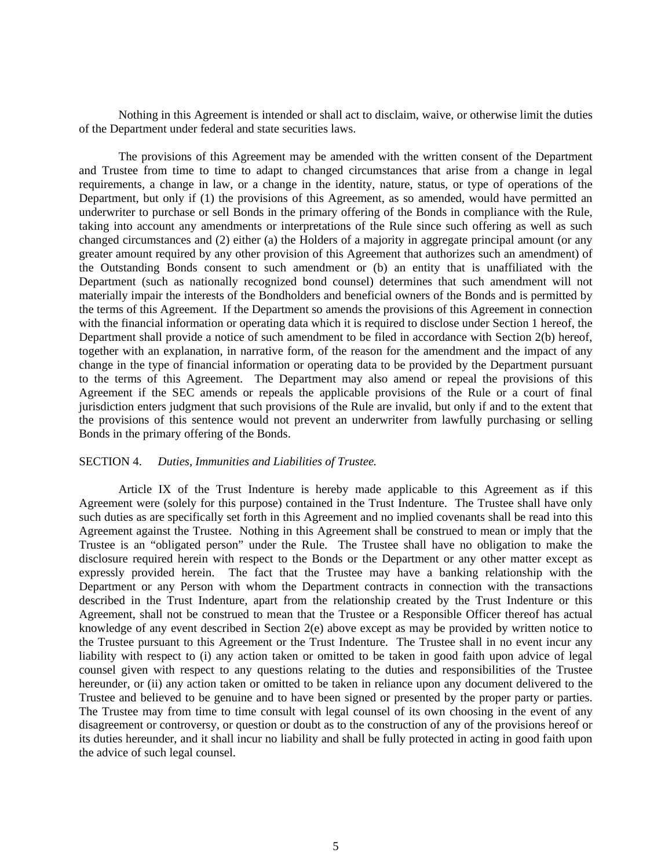Nothing in this Agreement is intended or shall act to disclaim, waive, or otherwise limit the duties of the Department under federal and state securities laws.

The provisions of this Agreement may be amended with the written consent of the Department and Trustee from time to time to adapt to changed circumstances that arise from a change in legal requirements, a change in law, or a change in the identity, nature, status, or type of operations of the Department, but only if (1) the provisions of this Agreement, as so amended, would have permitted an underwriter to purchase or sell Bonds in the primary offering of the Bonds in compliance with the Rule, taking into account any amendments or interpretations of the Rule since such offering as well as such changed circumstances and (2) either (a) the Holders of a majority in aggregate principal amount (or any greater amount required by any other provision of this Agreement that authorizes such an amendment) of the Outstanding Bonds consent to such amendment or (b) an entity that is unaffiliated with the Department (such as nationally recognized bond counsel) determines that such amendment will not materially impair the interests of the Bondholders and beneficial owners of the Bonds and is permitted by the terms of this Agreement. If the Department so amends the provisions of this Agreement in connection with the financial information or operating data which it is required to disclose under Section 1 hereof, the Department shall provide a notice of such amendment to be filed in accordance with Section 2(b) hereof, together with an explanation, in narrative form, of the reason for the amendment and the impact of any change in the type of financial information or operating data to be provided by the Department pursuant to the terms of this Agreement. The Department may also amend or repeal the provisions of this Agreement if the SEC amends or repeals the applicable provisions of the Rule or a court of final jurisdiction enters judgment that such provisions of the Rule are invalid, but only if and to the extent that the provisions of this sentence would not prevent an underwriter from lawfully purchasing or selling Bonds in the primary offering of the Bonds.

#### SECTION 4. *Duties, Immunities and Liabilities of Trustee.*

Article IX of the Trust Indenture is hereby made applicable to this Agreement as if this Agreement were (solely for this purpose) contained in the Trust Indenture. The Trustee shall have only such duties as are specifically set forth in this Agreement and no implied covenants shall be read into this Agreement against the Trustee. Nothing in this Agreement shall be construed to mean or imply that the Trustee is an "obligated person" under the Rule. The Trustee shall have no obligation to make the disclosure required herein with respect to the Bonds or the Department or any other matter except as expressly provided herein. The fact that the Trustee may have a banking relationship with the Department or any Person with whom the Department contracts in connection with the transactions described in the Trust Indenture, apart from the relationship created by the Trust Indenture or this Agreement, shall not be construed to mean that the Trustee or a Responsible Officer thereof has actual knowledge of any event described in Section 2(e) above except as may be provided by written notice to the Trustee pursuant to this Agreement or the Trust Indenture. The Trustee shall in no event incur any liability with respect to (i) any action taken or omitted to be taken in good faith upon advice of legal counsel given with respect to any questions relating to the duties and responsibilities of the Trustee hereunder, or (ii) any action taken or omitted to be taken in reliance upon any document delivered to the Trustee and believed to be genuine and to have been signed or presented by the proper party or parties. The Trustee may from time to time consult with legal counsel of its own choosing in the event of any disagreement or controversy, or question or doubt as to the construction of any of the provisions hereof or its duties hereunder, and it shall incur no liability and shall be fully protected in acting in good faith upon the advice of such legal counsel.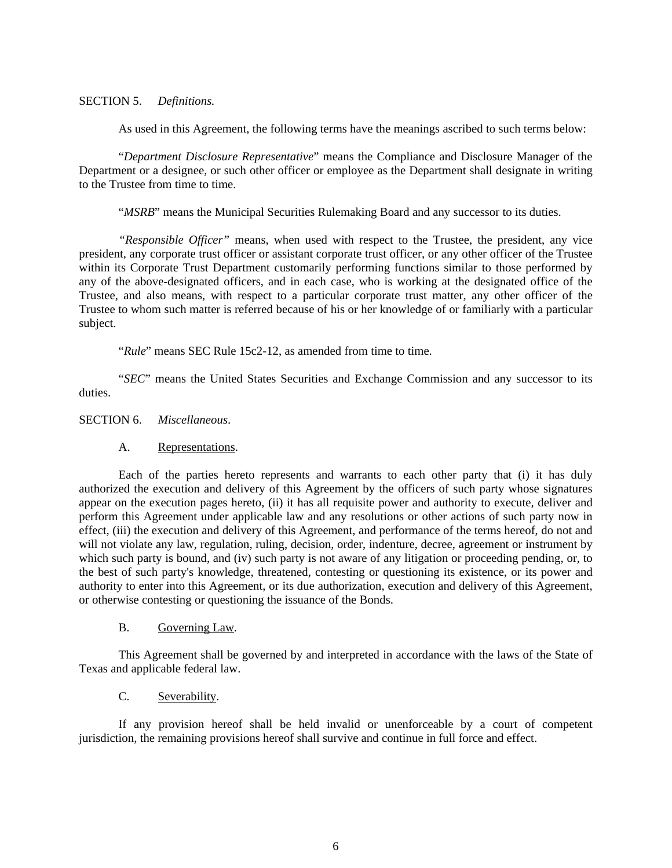### SECTION 5. *Definitions.*

As used in this Agreement, the following terms have the meanings ascribed to such terms below:

"*Department Disclosure Representative*" means the Compliance and Disclosure Manager of the Department or a designee, or such other officer or employee as the Department shall designate in writing to the Trustee from time to time.

"*MSRB*" means the Municipal Securities Rulemaking Board and any successor to its duties.

*"Responsible Officer"* means, when used with respect to the Trustee, the president, any vice president, any corporate trust officer or assistant corporate trust officer, or any other officer of the Trustee within its Corporate Trust Department customarily performing functions similar to those performed by any of the above-designated officers, and in each case, who is working at the designated office of the Trustee, and also means, with respect to a particular corporate trust matter, any other officer of the Trustee to whom such matter is referred because of his or her knowledge of or familiarly with a particular subject.

"*Rule*" means SEC Rule 15c2-12, as amended from time to time.

"*SEC*" means the United States Securities and Exchange Commission and any successor to its duties.

SECTION 6. *Miscellaneous*.

#### A. Representations.

Each of the parties hereto represents and warrants to each other party that (i) it has duly authorized the execution and delivery of this Agreement by the officers of such party whose signatures appear on the execution pages hereto, (ii) it has all requisite power and authority to execute, deliver and perform this Agreement under applicable law and any resolutions or other actions of such party now in effect, (iii) the execution and delivery of this Agreement, and performance of the terms hereof, do not and will not violate any law, regulation, ruling, decision, order, indenture, decree, agreement or instrument by which such party is bound, and (iv) such party is not aware of any litigation or proceeding pending, or, to the best of such party's knowledge, threatened, contesting or questioning its existence, or its power and authority to enter into this Agreement, or its due authorization, execution and delivery of this Agreement, or otherwise contesting or questioning the issuance of the Bonds.

### B. Governing Law.

This Agreement shall be governed by and interpreted in accordance with the laws of the State of Texas and applicable federal law.

## C. Severability.

If any provision hereof shall be held invalid or unenforceable by a court of competent jurisdiction, the remaining provisions hereof shall survive and continue in full force and effect.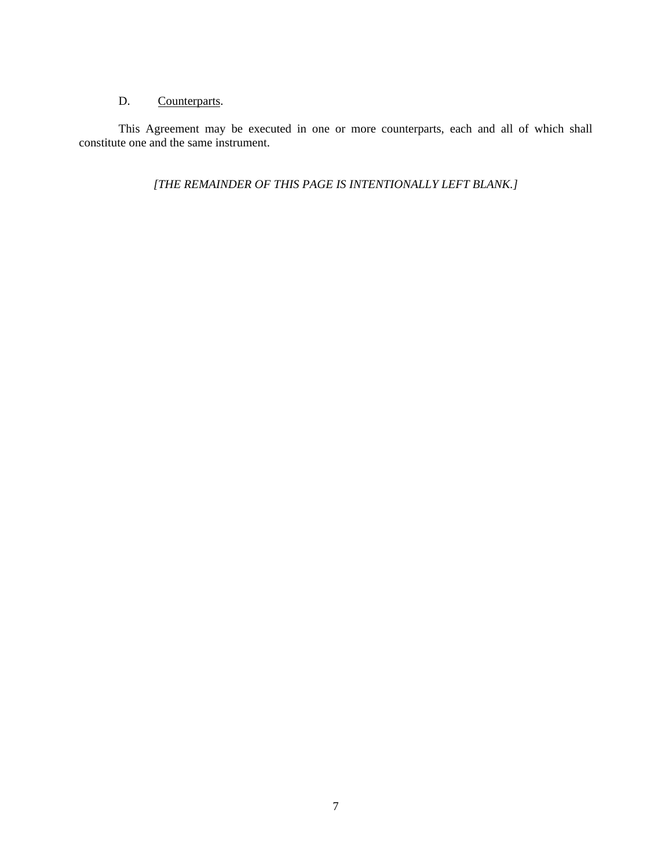# D. Counterparts.

This Agreement may be executed in one or more counterparts, each and all of which shall constitute one and the same instrument.

*[THE REMAINDER OF THIS PAGE IS INTENTIONALLY LEFT BLANK.]*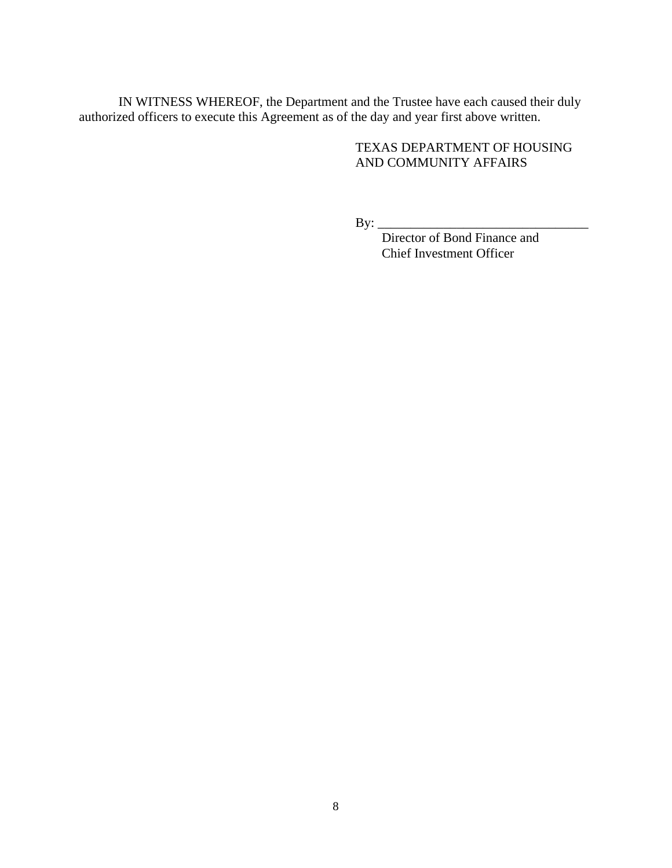IN WITNESS WHEREOF, the Department and the Trustee have each caused their duly authorized officers to execute this Agreement as of the day and year first above written.

# TEXAS DEPARTMENT OF HOUSING AND COMMUNITY AFFAIRS

By: \_\_\_\_\_\_\_\_\_\_\_\_\_\_\_\_\_\_\_\_\_\_\_\_\_\_\_\_\_\_\_\_

 Director of Bond Finance and Chief Investment Officer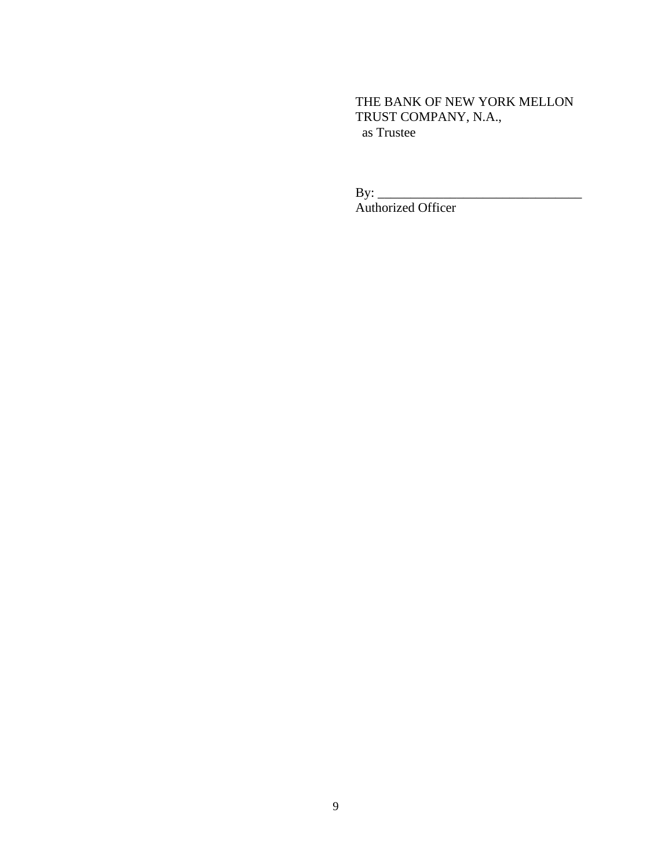THE BANK OF NEW YORK MELLON TRUST COMPANY, N.A., as Trustee

By: \_\_\_\_\_\_\_\_\_\_\_\_\_\_\_\_\_\_\_\_\_\_\_\_\_\_\_\_\_\_\_ Authorized Officer